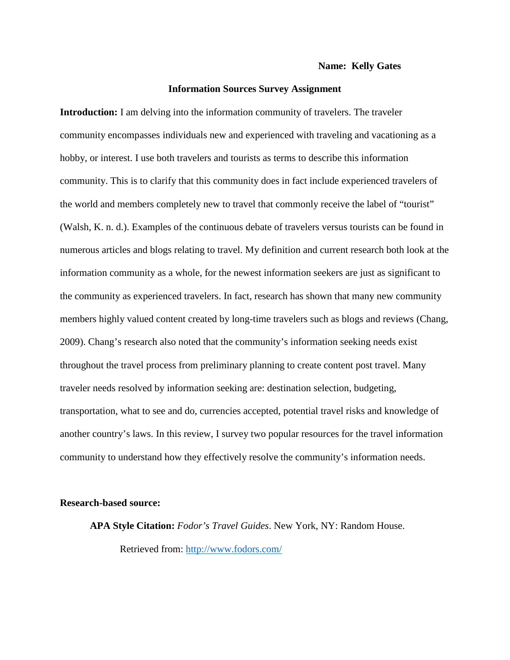## **Name: Kelly Gates**

## **Information Sources Survey Assignment**

**Introduction:** I am delving into the information community of travelers. The traveler community encompasses individuals new and experienced with traveling and vacationing as a hobby, or interest. I use both travelers and tourists as terms to describe this information community. This is to clarify that this community does in fact include experienced travelers of the world and members completely new to travel that commonly receive the label of "tourist" (Walsh, K. n. d.). Examples of the continuous debate of travelers versus tourists can be found in numerous articles and blogs relating to travel. My definition and current research both look at the information community as a whole, for the newest information seekers are just as significant to the community as experienced travelers. In fact, research has shown that many new community members highly valued content created by long-time travelers such as blogs and reviews (Chang, 2009). Chang's research also noted that the community's information seeking needs exist throughout the travel process from preliminary planning to create content post travel. Many traveler needs resolved by information seeking are: destination selection, budgeting, transportation, what to see and do, currencies accepted, potential travel risks and knowledge of another country's laws. In this review, I survey two popular resources for the travel information community to understand how they effectively resolve the community's information needs.

#### **Research-based source:**

**APA Style Citation:** *Fodor's Travel Guides*. New York, NY: Random House. Retrieved from:<http://www.fodors.com/>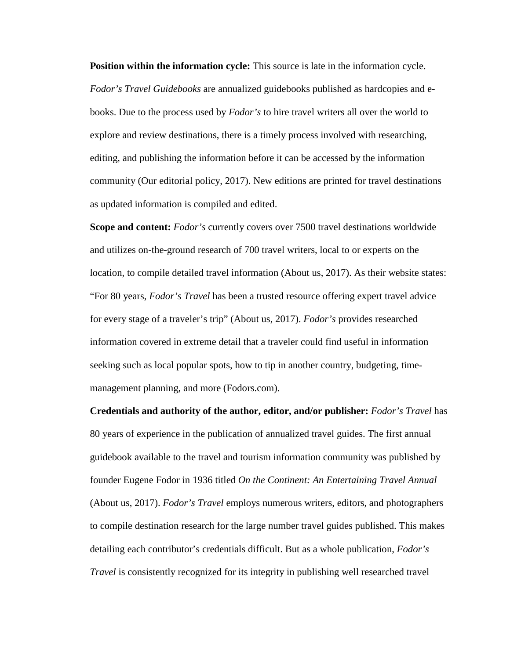**Position within the information cycle:** This source is late in the information cycle. *Fodor's Travel Guidebooks* are annualized guidebooks published as hardcopies and ebooks. Due to the process used by *Fodor's* to hire travel writers all over the world to explore and review destinations, there is a timely process involved with researching, editing, and publishing the information before it can be accessed by the information community (Our editorial policy, 2017). New editions are printed for travel destinations as updated information is compiled and edited.

**Scope and content:** *Fodor's* currently covers over 7500 travel destinations worldwide and utilizes on-the-ground research of 700 travel writers, local to or experts on the location, to compile detailed travel information (About us, 2017). As their website states: "For 80 years, *Fodor's Travel* has been a trusted resource offering expert travel advice for every stage of a traveler's trip" (About us, 2017). *Fodor's* provides researched information covered in extreme detail that a traveler could find useful in information seeking such as local popular spots, how to tip in another country, budgeting, timemanagement planning, and more (Fodors.com).

**Credentials and authority of the author, editor, and/or publisher:** *Fodor's Travel* has 80 years of experience in the publication of annualized travel guides. The first annual guidebook available to the travel and tourism information community was published by founder Eugene Fodor in 1936 titled *On the Continent: An Entertaining Travel Annual*  (About us, 2017). *Fodor's Travel* employs numerous writers, editors, and photographers to compile destination research for the large number travel guides published. This makes detailing each contributor's credentials difficult. But as a whole publication, *Fodor's Travel* is consistently recognized for its integrity in publishing well researched travel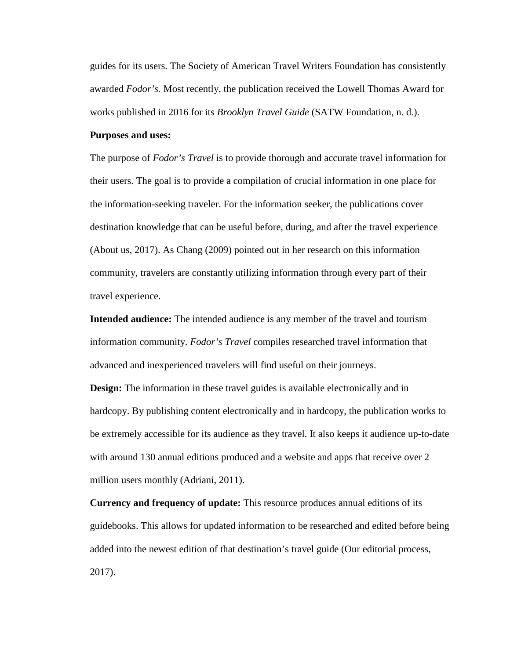guides for its users. The Society of American Travel Writers Foundation has consistently awarded *Fodor's.* Most recently, the publication received the Lowell Thomas Award for works published in 2016 for its *Brooklyn Travel Guide* (SATW Foundation, n. d.).

#### **Purposes and uses:**

The purpose of *Fodor's Travel* is to provide thorough and accurate travel information for their users. The goal is to provide a compilation of crucial information in one place for the information-seeking traveler. For the information seeker, the publications cover destination knowledge that can be useful before, during, and after the travel experience (About us, 2017). As Chang (2009) pointed out in her research on this information community, travelers are constantly utilizing information through every part of their travel experience.

**Intended audience:** The intended audience is any member of the travel and tourism information community. *Fodor's Travel* compiles researched travel information that advanced and inexperienced travelers will find useful on their journeys.

**Design:** The information in these travel guides is available electronically and in hardcopy. By publishing content electronically and in hardcopy, the publication works to be extremely accessible for its audience as they travel. It also keeps it audience up-to-date with around 130 annual editions produced and a website and apps that receive over 2 million users monthly (Adriani, 2011).

**Currency and frequency of update:** This resource produces annual editions of its guidebooks. This allows for updated information to be researched and edited before being added into the newest edition of that destination's travel guide (Our editorial process, 2017).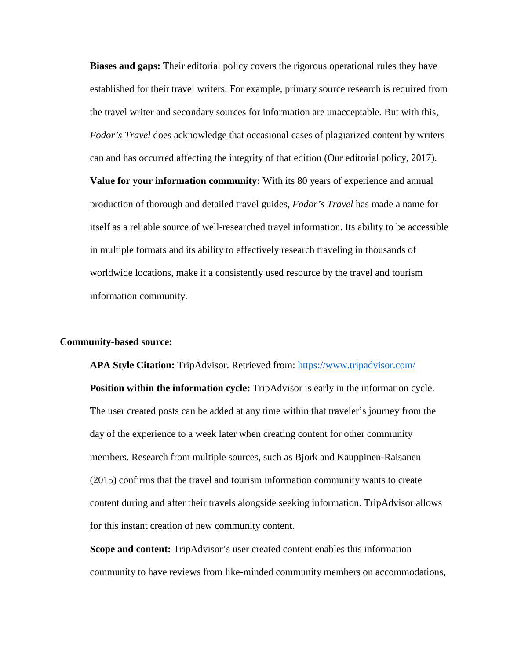**Biases and gaps:** Their editorial policy covers the rigorous operational rules they have established for their travel writers. For example, primary source research is required from the travel writer and secondary sources for information are unacceptable. But with this, *Fodor's Travel* does acknowledge that occasional cases of plagiarized content by writers can and has occurred affecting the integrity of that edition (Our editorial policy, 2017).

**Value for your information community:** With its 80 years of experience and annual production of thorough and detailed travel guides, *Fodor's Travel* has made a name for itself as a reliable source of well-researched travel information. Its ability to be accessible in multiple formats and its ability to effectively research traveling in thousands of worldwide locations, make it a consistently used resource by the travel and tourism information community.

## **Community-based source:**

**APA Style Citation:** TripAdvisor. Retrieved from:<https://www.tripadvisor.com/> **Position within the information cycle:** TripAdvisor is early in the information cycle. The user created posts can be added at any time within that traveler's journey from the day of the experience to a week later when creating content for other community members. Research from multiple sources, such as Bjork and Kauppinen-Raisanen (2015) confirms that the travel and tourism information community wants to create content during and after their travels alongside seeking information. TripAdvisor allows for this instant creation of new community content.

**Scope and content:** TripAdvisor's user created content enables this information community to have reviews from like-minded community members on accommodations,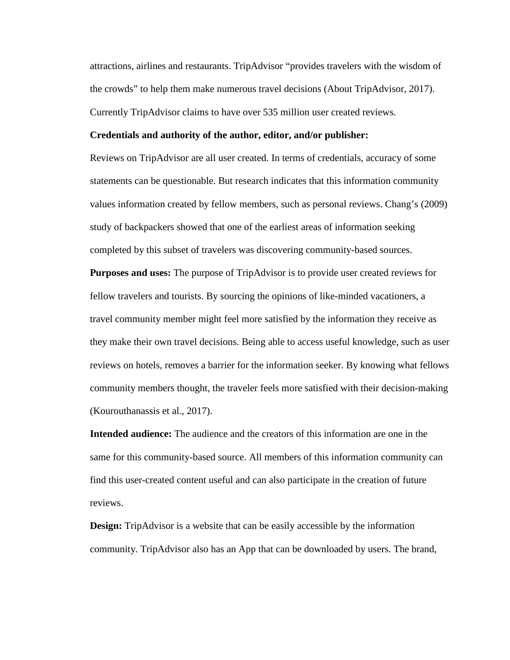attractions, airlines and restaurants. TripAdvisor "provides travelers with the wisdom of the crowds" to help them make numerous travel decisions (About TripAdvisor, 2017). Currently TripAdvisor claims to have over 535 million user created reviews.

#### **Credentials and authority of the author, editor, and/or publisher:**

Reviews on TripAdvisor are all user created. In terms of credentials, accuracy of some statements can be questionable. But research indicates that this information community values information created by fellow members, such as personal reviews. Chang's (2009) study of backpackers showed that one of the earliest areas of information seeking completed by this subset of travelers was discovering community-based sources.

**Purposes and uses:** The purpose of TripAdvisor is to provide user created reviews for fellow travelers and tourists. By sourcing the opinions of like-minded vacationers, a travel community member might feel more satisfied by the information they receive as they make their own travel decisions. Being able to access useful knowledge, such as user reviews on hotels, removes a barrier for the information seeker. By knowing what fellows community members thought, the traveler feels more satisfied with their decision-making (Kourouthanassis et al., 2017).

**Intended audience:** The audience and the creators of this information are one in the same for this community-based source. All members of this information community can find this user-created content useful and can also participate in the creation of future reviews.

**Design:** TripAdvisor is a website that can be easily accessible by the information community. TripAdvisor also has an App that can be downloaded by users. The brand,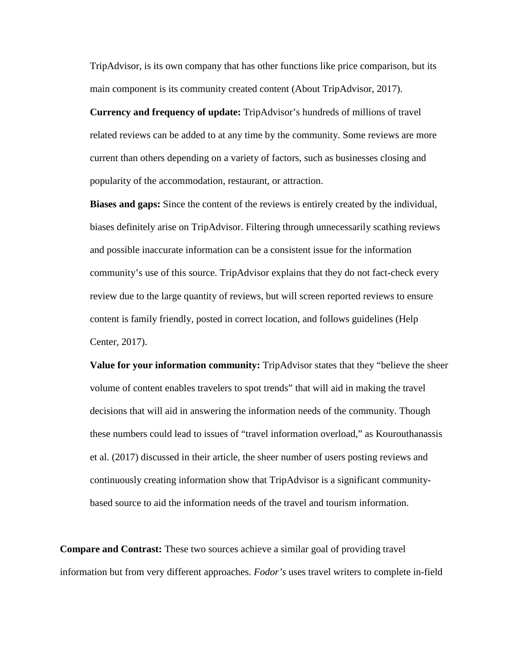TripAdvisor, is its own company that has other functions like price comparison, but its main component is its community created content (About TripAdvisor, 2017).

**Currency and frequency of update:** TripAdvisor's hundreds of millions of travel related reviews can be added to at any time by the community. Some reviews are more current than others depending on a variety of factors, such as businesses closing and popularity of the accommodation, restaurant, or attraction.

**Biases and gaps:** Since the content of the reviews is entirely created by the individual, biases definitely arise on TripAdvisor. Filtering through unnecessarily scathing reviews and possible inaccurate information can be a consistent issue for the information community's use of this source. TripAdvisor explains that they do not fact-check every review due to the large quantity of reviews, but will screen reported reviews to ensure content is family friendly, posted in correct location, and follows guidelines (Help Center, 2017).

**Value for your information community:** TripAdvisor states that they "believe the sheer volume of content enables travelers to spot trends" that will aid in making the travel decisions that will aid in answering the information needs of the community. Though these numbers could lead to issues of "travel information overload," as Kourouthanassis et al. (2017) discussed in their article, the sheer number of users posting reviews and continuously creating information show that TripAdvisor is a significant communitybased source to aid the information needs of the travel and tourism information.

**Compare and Contrast:** These two sources achieve a similar goal of providing travel information but from very different approaches. *Fodor's* uses travel writers to complete in-field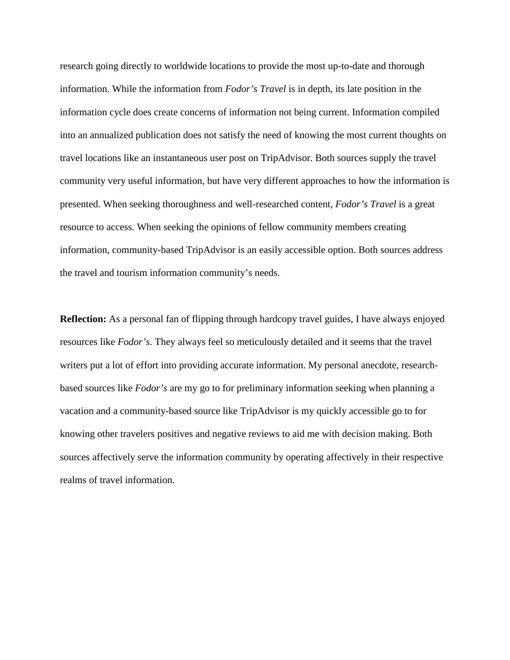research going directly to worldwide locations to provide the most up-to-date and thorough information. While the information from *Fodor's Travel* is in depth, its late position in the information cycle does create concerns of information not being current. Information compiled into an annualized publication does not satisfy the need of knowing the most current thoughts on travel locations like an instantaneous user post on TripAdvisor. Both sources supply the travel community very useful information, but have very different approaches to how the information is presented. When seeking thoroughness and well-researched content, *Fodor's Travel* is a great resource to access. When seeking the opinions of fellow community members creating information, community-based TripAdvisor is an easily accessible option. Both sources address the travel and tourism information community's needs.

**Reflection:** As a personal fan of flipping through hardcopy travel guides, I have always enjoyed resources like *Fodor's*. They always feel so meticulously detailed and it seems that the travel writers put a lot of effort into providing accurate information. My personal anecdote, researchbased sources like *Fodor's* are my go to for preliminary information seeking when planning a vacation and a community-based source like TripAdvisor is my quickly accessible go to for knowing other travelers positives and negative reviews to aid me with decision making. Both sources affectively serve the information community by operating affectively in their respective realms of travel information.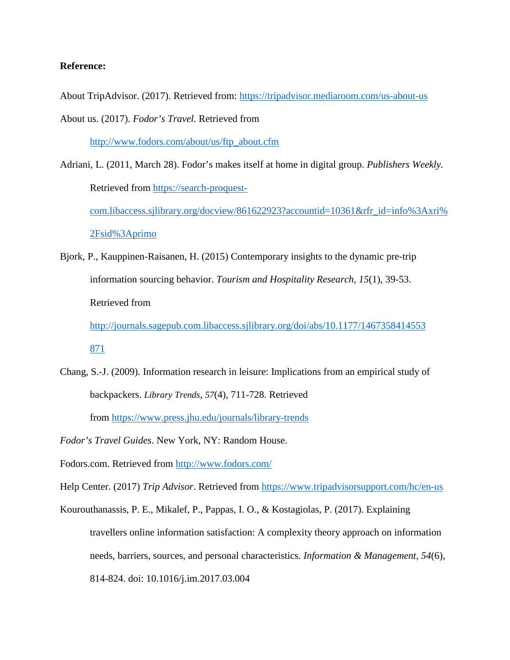# **Reference:**

About TripAdvisor. (2017). Retrieved from:<https://tripadvisor.mediaroom.com/us-about-us> About us. (2017). *Fodor's Travel.* Retrieved from

[http://www.fodors.com/about/us/ftp\\_about.cfm](http://www.fodors.com/about/us/ftp_about.cfm)

- Adriani, L. (2011, March 28). Fodor's makes itself at home in digital group. *Publishers Weekly.*  Retrieved from [https://search-proquest](https://search-proquest-com.libaccess.sjlibrary.org/docview/861622923?accountid=10361&rfr_id=info%3Axri%2Fsid%3Aprimo)[com.libaccess.sjlibrary.org/docview/861622923?accountid=10361&rfr\\_id=info%3Axri%](https://search-proquest-com.libaccess.sjlibrary.org/docview/861622923?accountid=10361&rfr_id=info%3Axri%2Fsid%3Aprimo) [2Fsid%3Aprimo](https://search-proquest-com.libaccess.sjlibrary.org/docview/861622923?accountid=10361&rfr_id=info%3Axri%2Fsid%3Aprimo)
- Bjork, P., Kauppinen-Raisanen, H. (2015) Contemporary insights to the dynamic pre-trip information sourcing behavior. *Tourism and Hospitality Research*, *15*(1), 39-53. Retrieved from

[http://journals.sagepub.com.libaccess.sjlibrary.org/doi/abs/10.1177/1467358414553](http://journals.sagepub.com.libaccess.sjlibrary.org/doi/abs/10.1177/1467358414553871) [871](http://journals.sagepub.com.libaccess.sjlibrary.org/doi/abs/10.1177/1467358414553871)

- Chang, S.-J. (2009). Information research in leisure: Implications from an empirical study of backpackers. *Library Trends*, *57*(4), 711-728. Retrieved from <https://www.press.jhu.edu/journals/library-trends>
- *Fodor's Travel Guides*. New York, NY: Random House.

Fodors.com. Retrieved from <http://www.fodors.com/>

Help Center. (2017) *Trip Advisor*. Retrieved from<https://www.tripadvisorsupport.com/hc/en-us>

Kourouthanassis, P. E., Mikalef, P., Pappas, I. O., & Kostagiolas, P. (2017). Explaining travellers online information satisfaction: A complexity theory approach on information needs, barriers, sources, and personal characteristics. *Information & Management, 54*(6), 814-824. doi: 10.1016/j.im.2017.03.004